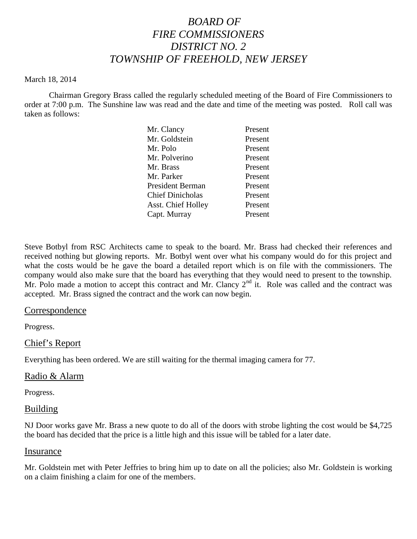# *BOARD OF FIRE COMMISSIONERS DISTRICT NO. 2 TOWNSHIP OF FREEHOLD, NEW JERSEY*

#### March 18, 2014

Chairman Gregory Brass called the regularly scheduled meeting of the Board of Fire Commissioners to order at 7:00 p.m. The Sunshine law was read and the date and time of the meeting was posted. Roll call was taken as follows:

| Present |
|---------|
| Present |
| Present |
| Present |
| Present |
| Present |
| Present |
| Present |
| Present |
| Present |
|         |

Steve Botbyl from RSC Architects came to speak to the board. Mr. Brass had checked their references and received nothing but glowing reports. Mr. Botbyl went over what his company would do for this project and what the costs would be he gave the board a detailed report which is on file with the commissioners. The company would also make sure that the board has everything that they would need to present to the township. Mr. Polo made a motion to accept this contract and Mr. Clancy  $2<sup>nd</sup>$  it. Role was called and the contract was accepted. Mr. Brass signed the contract and the work can now begin.

## Correspondence

Progress.

## Chief's Report

Everything has been ordered. We are still waiting for the thermal imaging camera for 77.

#### Radio & Alarm

Progress.

#### Building

NJ Door works gave Mr. Brass a new quote to do all of the doors with strobe lighting the cost would be \$4,725 the board has decided that the price is a little high and this issue will be tabled for a later date.

#### Insurance

Mr. Goldstein met with Peter Jeffries to bring him up to date on all the policies; also Mr. Goldstein is working on a claim finishing a claim for one of the members.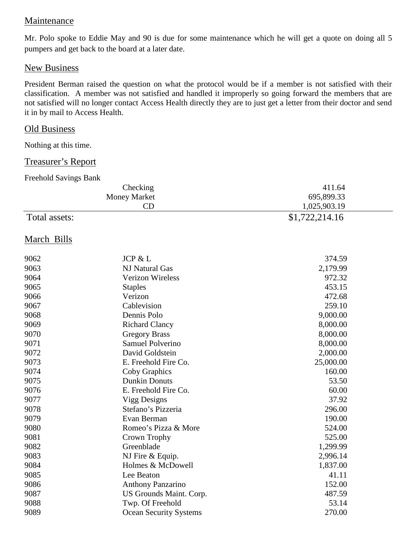# Maintenance

Mr. Polo spoke to Eddie May and 90 is due for some maintenance which he will get a quote on doing all 5 pumpers and get back to the board at a later date.

## New Business

President Berman raised the question on what the protocol would be if a member is not satisfied with their classification. A member was not satisfied and handled it improperly so going forward the members that are not satisfied will no longer contact Access Health directly they are to just get a letter from their doctor and send it in by mail to Access Health.

## **Old Business**

Nothing at this time.

## Treasurer's Report

| <b>Freehold Savings Bank</b> |  |
|------------------------------|--|
|------------------------------|--|

|               | Checking                      | 411.64         |  |
|---------------|-------------------------------|----------------|--|
|               | <b>Money Market</b>           | 695,899.33     |  |
|               | CD                            | 1,025,903.19   |  |
| Total assets: |                               | \$1,722,214.16 |  |
| March Bills   |                               |                |  |
| 9062          | JCP & L                       | 374.59         |  |
| 9063          | <b>NJ Natural Gas</b>         | 2,179.99       |  |
| 9064          | <b>Verizon Wireless</b>       | 972.32         |  |
| 9065          | <b>Staples</b>                | 453.15         |  |
| 9066          | Verizon                       | 472.68         |  |
| 9067          | Cablevision                   | 259.10         |  |
| 9068          | Dennis Polo                   | 9,000.00       |  |
| 9069          | <b>Richard Clancy</b>         | 8,000.00       |  |
| 9070          | <b>Gregory Brass</b>          | 8,000.00       |  |
| 9071          | <b>Samuel Polverino</b>       | 8,000.00       |  |
| 9072          | David Goldstein               | 2,000.00       |  |
| 9073          | E. Freehold Fire Co.          | 25,000.00      |  |
| 9074          | Coby Graphics                 | 160.00         |  |
| 9075          | <b>Dunkin Donuts</b>          | 53.50          |  |
| 9076          | E. Freehold Fire Co.          | 60.00          |  |
| 9077          | Vigg Designs                  | 37.92          |  |
| 9078          | Stefano's Pizzeria            | 296.00         |  |
| 9079          | Evan Berman                   | 190.00         |  |
| 9080          | Romeo's Pizza & More          | 524.00         |  |
| 9081          | Crown Trophy                  | 525.00         |  |
| 9082          | Greenblade                    | 1,299.99       |  |
| 9083          | NJ Fire & Equip.              | 2,996.14       |  |
| 9084          | Holmes & McDowell             | 1,837.00       |  |
| 9085          | Lee Beaton                    | 41.11          |  |
| 9086          | <b>Anthony Panzarino</b>      | 152.00         |  |
| 9087          | US Grounds Maint. Corp.       | 487.59         |  |
| 9088          | Twp. Of Freehold              | 53.14          |  |
| 9089          | <b>Ocean Security Systems</b> | 270.00         |  |